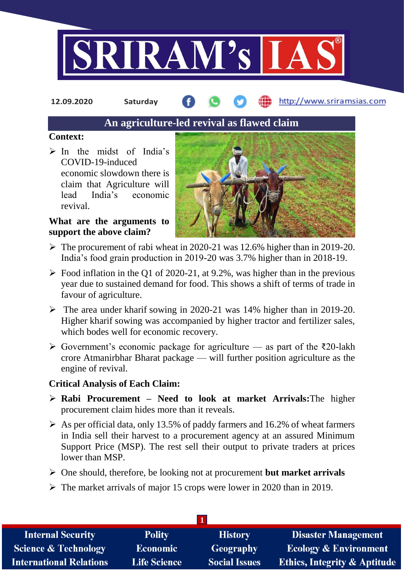

**12.09.2020 Saturday**

http://www.sriramsias.com

# **An agriculture-led revival as flawed claim**

### **Context:**

 $\triangleright$  In the midst of India's COVID-19-induced economic slowdown there is claim that Agriculture will lead India's economic revival.

## **What are the arguments to support the above claim?**



- $\triangleright$  The procurement of rabi wheat in 2020-21 was 12.6% higher than in 2019-20. India's food grain production in 2019-20 was 3.7% higher than in 2018-19.
- $\triangleright$  Food inflation in the Q1 of 2020-21, at 9.2%, was higher than in the previous year due to sustained demand for food. This shows a shift of terms of trade in favour of agriculture.
- $\triangleright$  The area under kharif sowing in 2020-21 was 14% higher than in 2019-20. Higher kharif sowing was accompanied by higher tractor and fertilizer sales, which bodes well for economic recovery.
- $\triangleright$  Government's economic package for agriculture as part of the ₹20-lakh crore Atmanirbhar Bharat package — will further position agriculture as the engine of revival.

# **Critical Analysis of Each Claim:**

- **Rabi Procurement – Need to look at market Arrivals:**The higher procurement claim hides more than it reveals.
- $\triangleright$  As per official data, only 13.5% of paddy farmers and 16.2% of wheat farmers in India sell their harvest to a procurement agency at an assured Minimum Support Price (MSP). The rest sell their output to private traders at prices lower than MSP.
- One should, therefore, be looking not at procurement **but market arrivals**
- $\triangleright$  The market arrivals of major 15 crops were lower in 2020 than in 2019.

| <b>Internal Security</b>        | <b>Polity</b>       | <b>History</b>       | <b>Disaster Management</b>              |  |  |  |
|---------------------------------|---------------------|----------------------|-----------------------------------------|--|--|--|
| <b>Science &amp; Technology</b> | <b>Economic</b>     | Geography            | <b>Ecology &amp; Environment</b>        |  |  |  |
| <b>International Relations</b>  | <b>Life Science</b> | <b>Social Issues</b> | <b>Ethics, Integrity &amp; Aptitude</b> |  |  |  |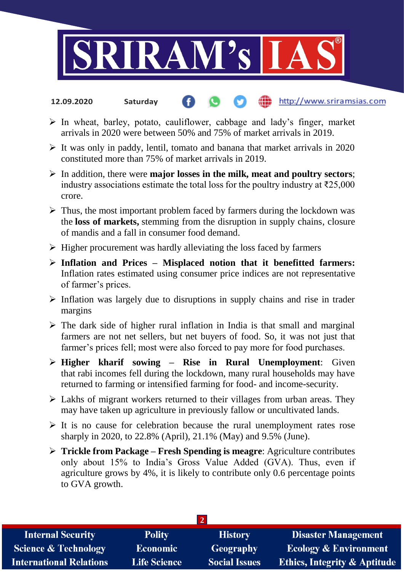

#### http://www.sriramsias.com **12.09.2020 Saturday**

- $\triangleright$  In wheat, barley, potato, cauliflower, cabbage and lady's finger, market arrivals in 2020 were between 50% and 75% of market arrivals in 2019.
- $\triangleright$  It was only in paddy, lentil, tomato and banana that market arrivals in 2020 constituted more than 75% of market arrivals in 2019.
- In addition, there were **major losses in the milk, meat and poultry sectors**; industry associations estimate the total loss for the poultry industry at  $\bar{\tau}$ 25,000 crore.
- $\triangleright$  Thus, the most important problem faced by farmers during the lockdown was the **loss of markets,** stemming from the disruption in supply chains, closure of mandis and a fall in consumer food demand.
- $\triangleright$  Higher procurement was hardly alleviating the loss faced by farmers
- **Inflation and Prices – Misplaced notion that it benefitted farmers:** Inflation rates estimated using consumer price indices are not representative of farmer's prices.
- $\triangleright$  Inflation was largely due to disruptions in supply chains and rise in trader margins
- $\triangleright$  The dark side of higher rural inflation in India is that small and marginal farmers are not net sellers, but net buyers of food. So, it was not just that farmer's prices fell; most were also forced to pay more for food purchases.
- **Higher kharif sowing – Rise in Rural Unemployment**: Given that rabi incomes fell during the lockdown, many rural households may have returned to farming or intensified farming for food- and income-security.
- $\triangleright$  Lakhs of migrant workers returned to their villages from urban areas. They may have taken up agriculture in previously fallow or uncultivated lands.
- $\triangleright$  It is no cause for celebration because the rural unemployment rates rose sharply in 2020, to 22.8% (April), 21.1% (May) and 9.5% (June).
- **Trickle from Package – Fresh Spending is meagre**: Agriculture contributes only about 15% to India's Gross Value Added (GVA). Thus, even if agriculture grows by 4%, it is likely to contribute only 0.6 percentage points to GVA growth.

| <b>Internal Security</b>        | <b>Polity</b>       | <b>History</b>       | <b>Disaster Management</b>              |  |  |  |
|---------------------------------|---------------------|----------------------|-----------------------------------------|--|--|--|
| <b>Science &amp; Technology</b> | <b>Economic</b>     | <b>Geography</b>     | <b>Ecology &amp; Environment</b>        |  |  |  |
| <b>International Relations</b>  | <b>Life Science</b> | <b>Social Issues</b> | <b>Ethics, Integrity &amp; Aptitude</b> |  |  |  |